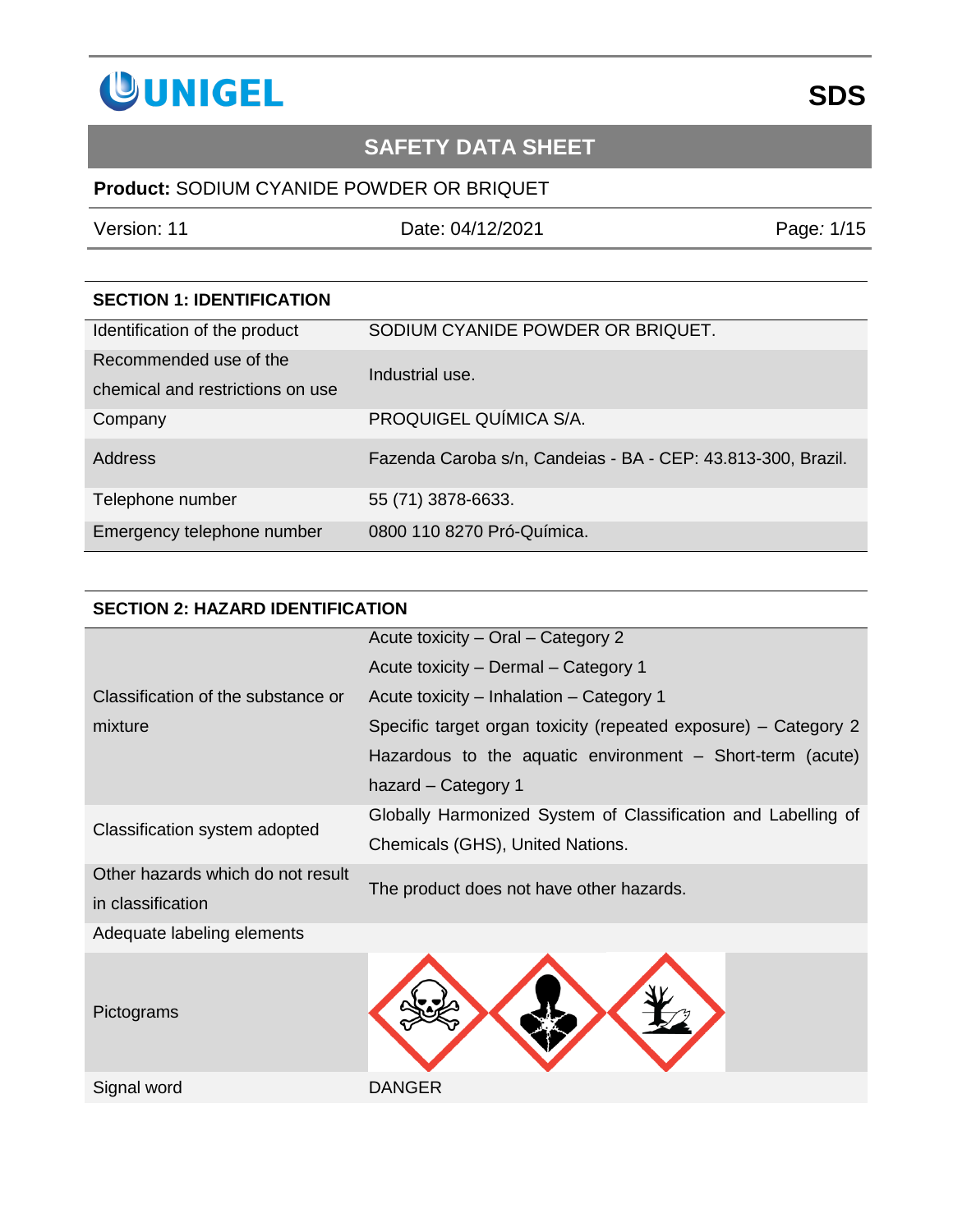

### **Product:** SODIUM CYANIDE POWDER OR BRIQUET

Version: 11 Date: 04/12/2021 Page*:* 1/15

| <b>SECTION 1: IDENTIFICATION</b> |                                                              |
|----------------------------------|--------------------------------------------------------------|
| Identification of the product    | SODIUM CYANIDE POWDER OR BRIQUET.                            |
| Recommended use of the           | Industrial use.                                              |
| chemical and restrictions on use |                                                              |
| Company                          | PROQUIGEL QUÍMICA S/A.                                       |
| <b>Address</b>                   | Fazenda Caroba s/n, Candeias - BA - CEP: 43.813-300, Brazil. |
| Telephone number                 | 55 (71) 3878-6633.                                           |
| Emergency telephone number       | 0800 110 8270 Pró-Química.                                   |

### **SECTION 2: HAZARD IDENTIFICATION**

|                                    | Acute toxicity - Oral - Category 2                              |
|------------------------------------|-----------------------------------------------------------------|
|                                    | Acute toxicity - Dermal - Category 1                            |
| Classification of the substance or | Acute toxicity – Inhalation – Category 1                        |
| mixture                            | Specific target organ toxicity (repeated exposure) – Category 2 |
|                                    | Hazardous to the aquatic environment - Short-term (acute)       |
|                                    | hazard - Category 1                                             |
|                                    | Globally Harmonized System of Classification and Labelling of   |
| Classification system adopted      | Chemicals (GHS), United Nations.                                |
| Other hazards which do not result  | The product does not have other hazards.                        |
| in classification                  |                                                                 |
| Adequate labeling elements         |                                                                 |
| Pictograms                         |                                                                 |
| Signal word                        | DANGER                                                          |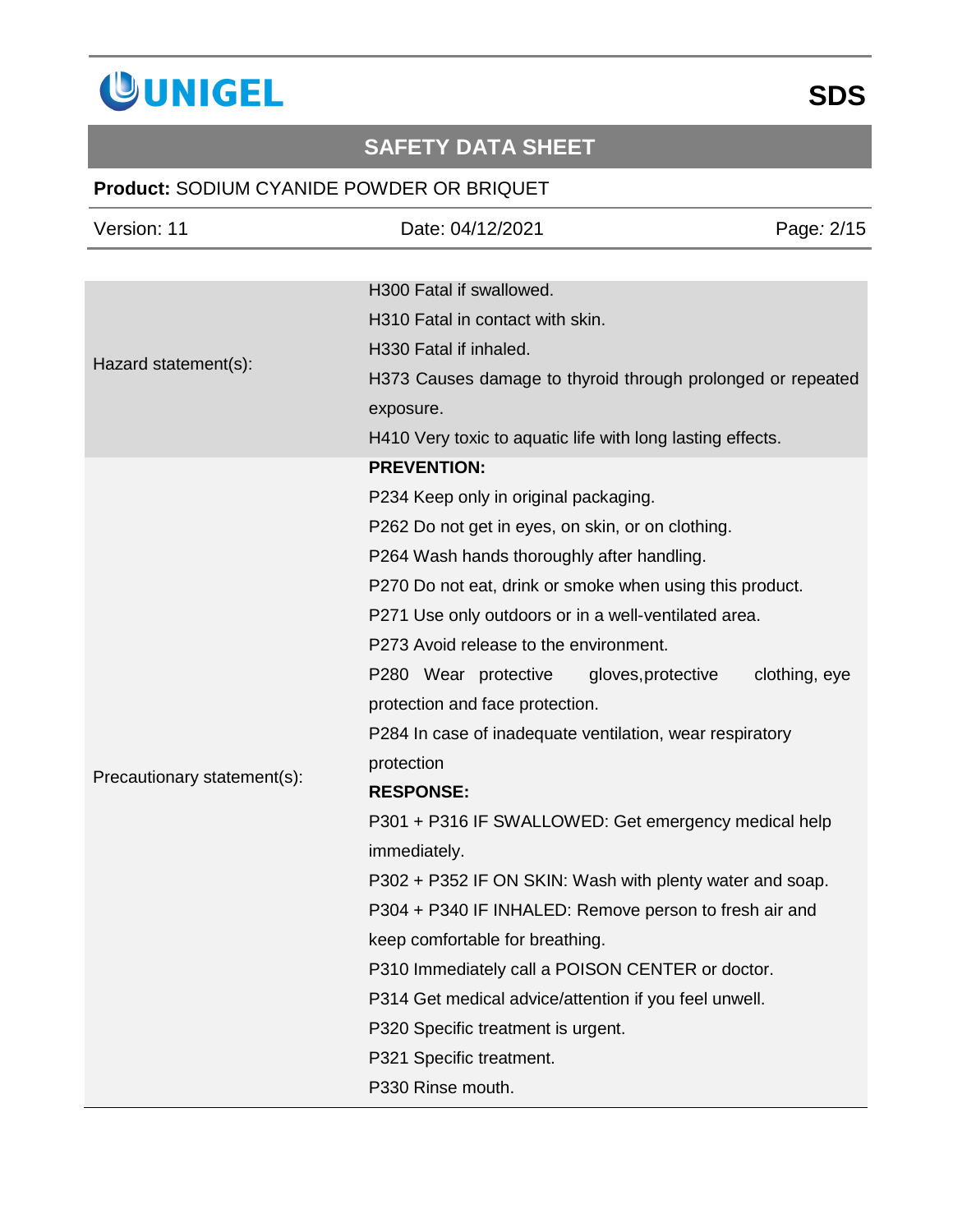

## **Product:** SODIUM CYANIDE POWDER OR BRIQUET

| Version: 11                 | Date: 04/12/2021                                            | Page: 2/15    |
|-----------------------------|-------------------------------------------------------------|---------------|
|                             |                                                             |               |
| Hazard statement(s):        | H300 Fatal if swallowed.                                    |               |
|                             | H310 Fatal in contact with skin.                            |               |
|                             | H330 Fatal if inhaled.                                      |               |
|                             | H373 Causes damage to thyroid through prolonged or repeated |               |
|                             | exposure.                                                   |               |
|                             | H410 Very toxic to aquatic life with long lasting effects.  |               |
|                             | <b>PREVENTION:</b>                                          |               |
|                             | P234 Keep only in original packaging.                       |               |
|                             | P262 Do not get in eyes, on skin, or on clothing.           |               |
|                             | P264 Wash hands thoroughly after handling.                  |               |
|                             | P270 Do not eat, drink or smoke when using this product.    |               |
|                             | P271 Use only outdoors or in a well-ventilated area.        |               |
|                             | P273 Avoid release to the environment.                      |               |
|                             | P280 Wear protective<br>gloves, protective                  | clothing, eye |
|                             | protection and face protection.                             |               |
|                             | P284 In case of inadequate ventilation, wear respiratory    |               |
| Precautionary statement(s): | protection                                                  |               |
|                             | <b>RESPONSE:</b>                                            |               |
|                             | P301 + P316 IF SWALLOWED: Get emergency medical help        |               |
|                             | immediately.                                                |               |
|                             | P302 + P352 IF ON SKIN: Wash with plenty water and soap.    |               |
|                             | P304 + P340 IF INHALED: Remove person to fresh air and      |               |
|                             | keep comfortable for breathing.                             |               |
|                             | P310 Immediately call a POISON CENTER or doctor.            |               |
|                             | P314 Get medical advice/attention if you feel unwell.       |               |
|                             | P320 Specific treatment is urgent.                          |               |
|                             | P321 Specific treatment.                                    |               |
|                             | P330 Rinse mouth.                                           |               |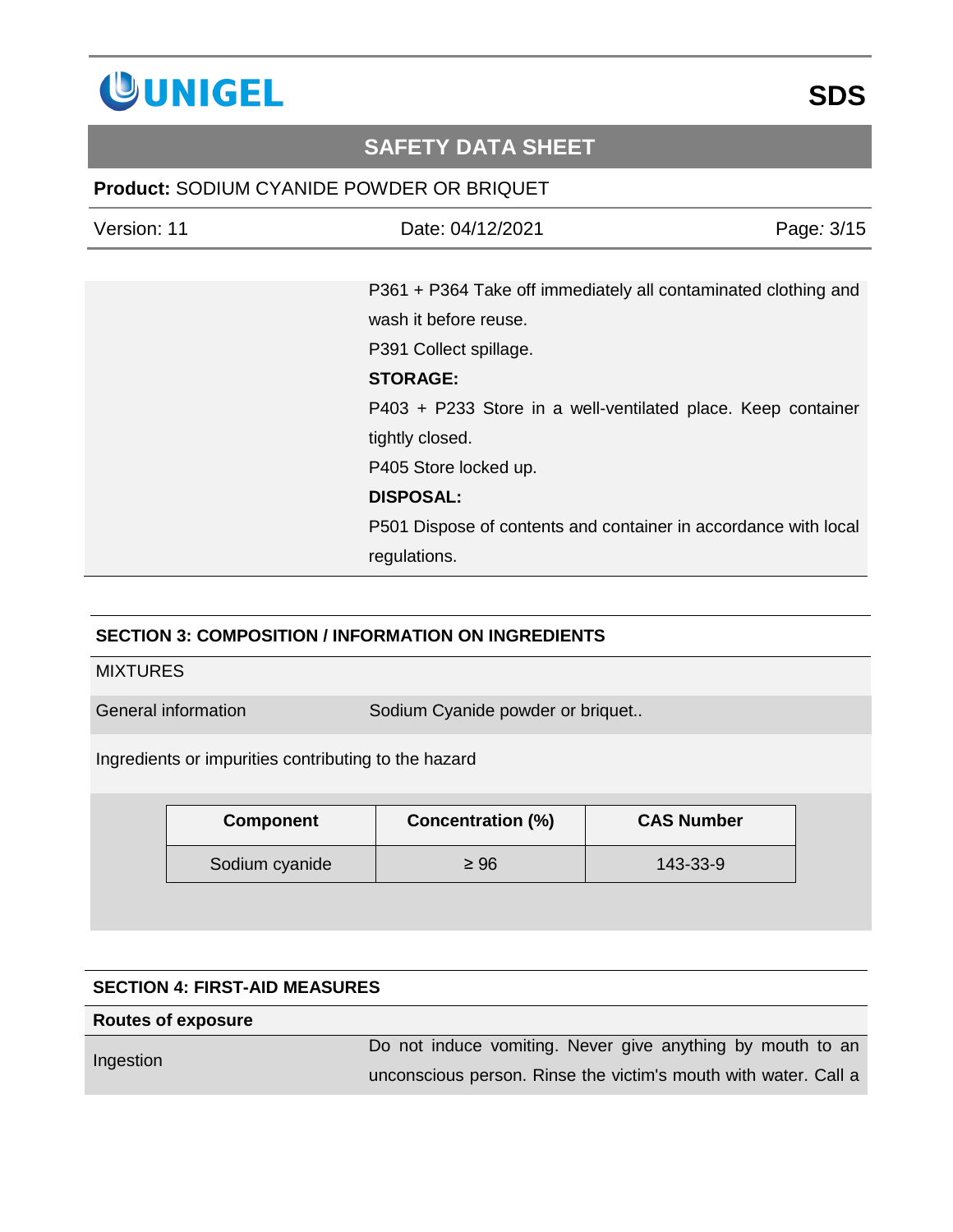

### **Product:** SODIUM CYANIDE POWDER OR BRIQUET

| Version: 11 | Date: 04/12/2021                                                | Page: 3/15 |
|-------------|-----------------------------------------------------------------|------------|
|             |                                                                 |            |
|             | P361 + P364 Take off immediately all contaminated clothing and  |            |
|             | wash it before reuse.                                           |            |
|             | P391 Collect spillage.                                          |            |
|             | <b>STORAGE:</b>                                                 |            |
|             | P403 + P233 Store in a well-ventilated place. Keep container    |            |
|             | tightly closed.                                                 |            |
|             | P405 Store locked up.                                           |            |
|             | <b>DISPOSAL:</b>                                                |            |
|             | P501 Dispose of contents and container in accordance with local |            |
|             | regulations.                                                    |            |

### **SECTION 3: COMPOSITION / INFORMATION ON INGREDIENTS**

#### **MIXTURES**

General information Sodium Cyanide powder or briquet..

Ingredients or impurities contributing to the hazard

| <b>Component</b> | <b>Concentration (%)</b> | <b>CAS Number</b> |
|------------------|--------------------------|-------------------|
| Sodium cyanide   | $\geq 96$                | 143-33-9          |

### **SECTION 4: FIRST-AID MEASURES**

#### **Routes of exposure**

Ingestion

Do not induce vomiting. Never give anything by mouth to an unconscious person. Rinse the victim's mouth with water. Call a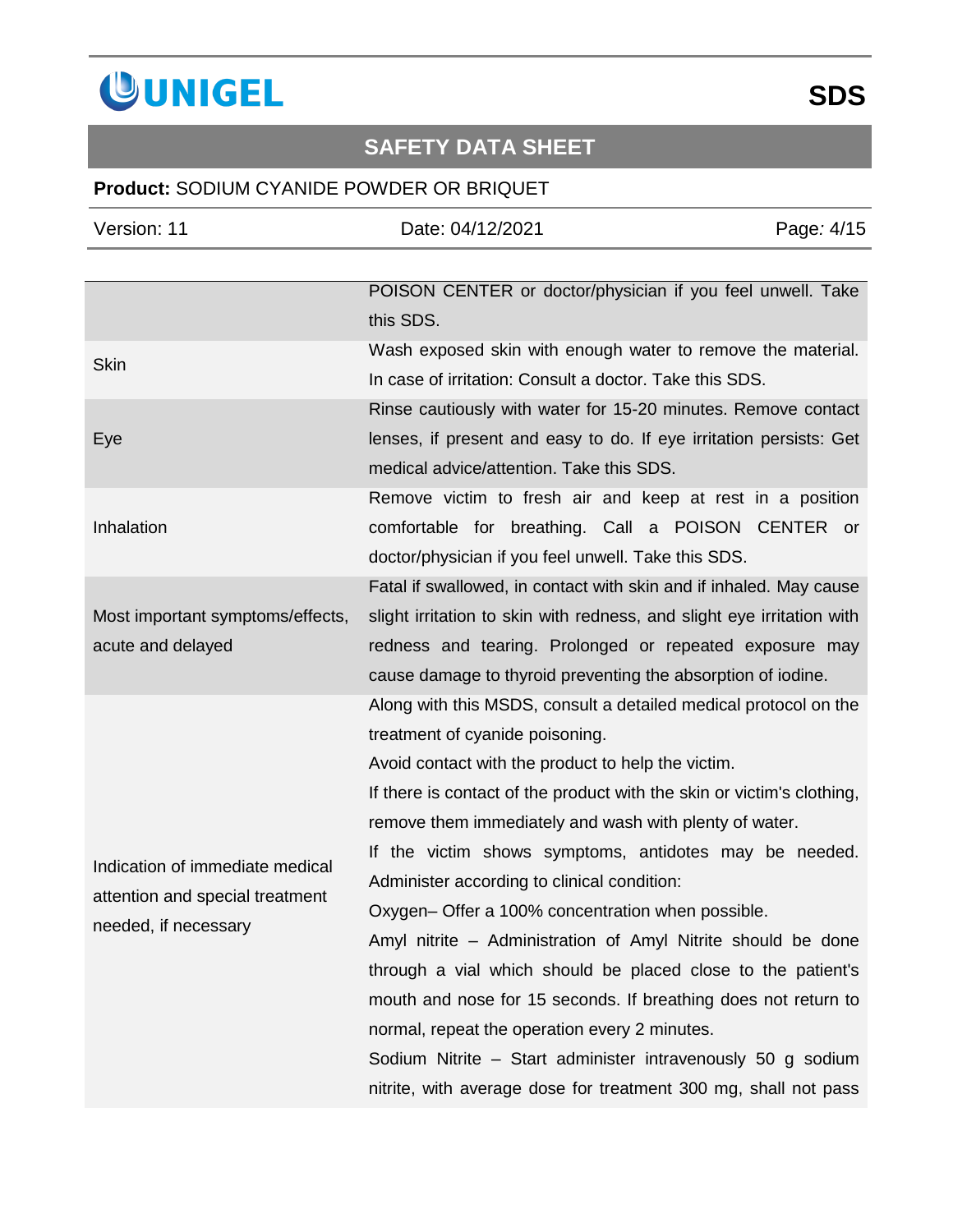

## **Product:** SODIUM CYANIDE POWDER OR BRIQUET

| Version: 11                                                                                | Date: 04/12/2021                                                                                                                                                                                                                                                                                                                                                                                                                                                                                                                                                                                                                                                                                                                                                                                                                                 | Page: 4/15 |
|--------------------------------------------------------------------------------------------|--------------------------------------------------------------------------------------------------------------------------------------------------------------------------------------------------------------------------------------------------------------------------------------------------------------------------------------------------------------------------------------------------------------------------------------------------------------------------------------------------------------------------------------------------------------------------------------------------------------------------------------------------------------------------------------------------------------------------------------------------------------------------------------------------------------------------------------------------|------------|
|                                                                                            |                                                                                                                                                                                                                                                                                                                                                                                                                                                                                                                                                                                                                                                                                                                                                                                                                                                  |            |
|                                                                                            | POISON CENTER or doctor/physician if you feel unwell. Take<br>this SDS.                                                                                                                                                                                                                                                                                                                                                                                                                                                                                                                                                                                                                                                                                                                                                                          |            |
| <b>Skin</b>                                                                                | Wash exposed skin with enough water to remove the material.<br>In case of irritation: Consult a doctor. Take this SDS.                                                                                                                                                                                                                                                                                                                                                                                                                                                                                                                                                                                                                                                                                                                           |            |
| Eye                                                                                        | Rinse cautiously with water for 15-20 minutes. Remove contact<br>lenses, if present and easy to do. If eye irritation persists: Get<br>medical advice/attention. Take this SDS.                                                                                                                                                                                                                                                                                                                                                                                                                                                                                                                                                                                                                                                                  |            |
| Inhalation                                                                                 | Remove victim to fresh air and keep at rest in a position<br>comfortable for breathing. Call a POISON CENTER or<br>doctor/physician if you feel unwell. Take this SDS.                                                                                                                                                                                                                                                                                                                                                                                                                                                                                                                                                                                                                                                                           |            |
| Most important symptoms/effects,<br>acute and delayed                                      | Fatal if swallowed, in contact with skin and if inhaled. May cause<br>slight irritation to skin with redness, and slight eye irritation with<br>redness and tearing. Prolonged or repeated exposure may<br>cause damage to thyroid preventing the absorption of iodine.                                                                                                                                                                                                                                                                                                                                                                                                                                                                                                                                                                          |            |
| Indication of immediate medical<br>attention and special treatment<br>needed, if necessary | Along with this MSDS, consult a detailed medical protocol on the<br>treatment of cyanide poisoning.<br>Avoid contact with the product to help the victim.<br>If there is contact of the product with the skin or victim's clothing,<br>remove them immediately and wash with plenty of water.<br>If the victim shows symptoms, antidotes may be needed.<br>Administer according to clinical condition:<br>Oxygen- Offer a 100% concentration when possible.<br>Amyl nitrite – Administration of Amyl Nitrite should be done<br>through a vial which should be placed close to the patient's<br>mouth and nose for 15 seconds. If breathing does not return to<br>normal, repeat the operation every 2 minutes.<br>Sodium Nitrite - Start administer intravenously 50 g sodium<br>nitrite, with average dose for treatment 300 mg, shall not pass |            |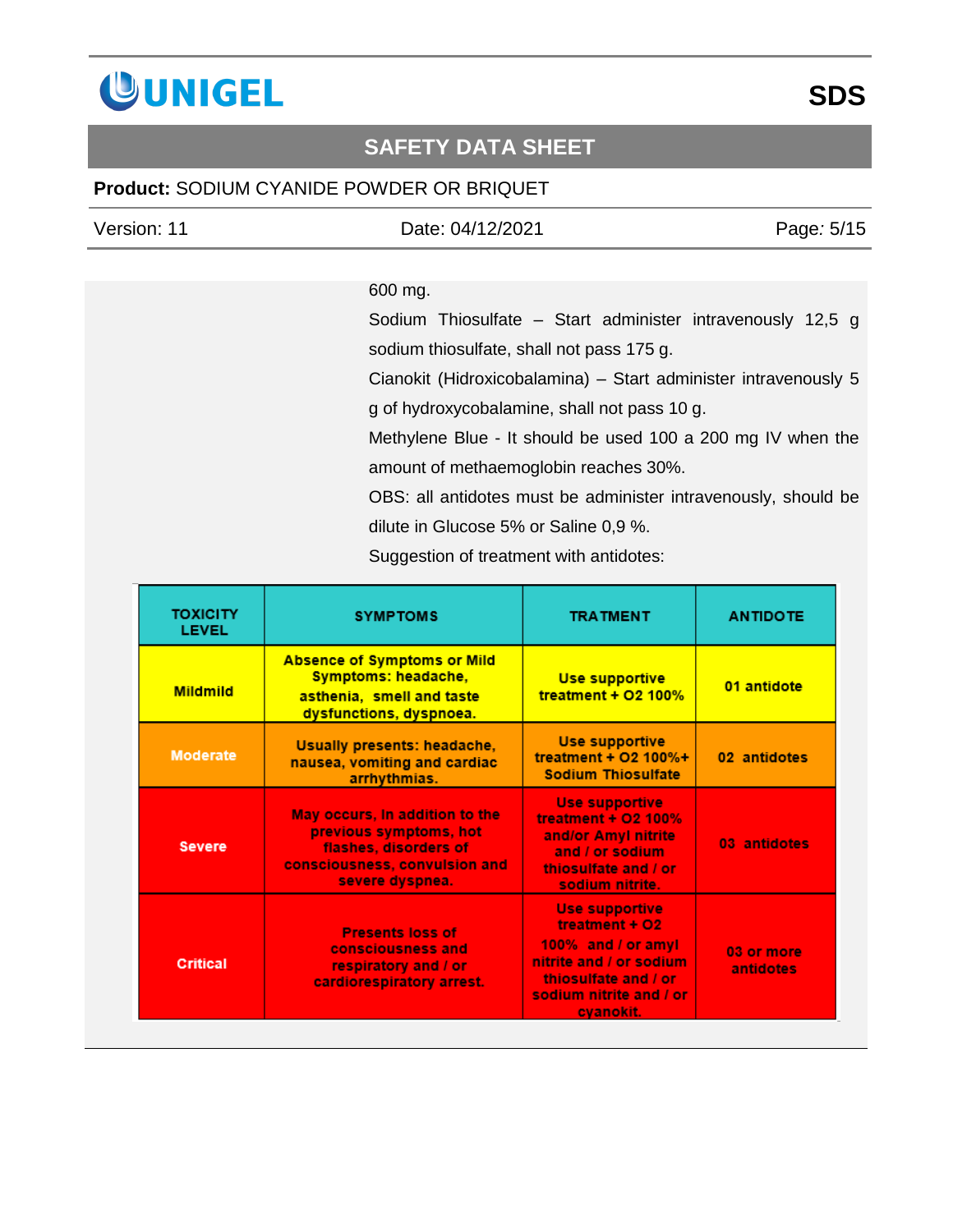

### **Product:** SODIUM CYANIDE POWDER OR BRIQUET

| Version: 11 |  |
|-------------|--|
|             |  |

Version: 11 Date: 04/12/2021 Page*:* 5/15

### 600 mg.

Sodium Thiosulfate – Start administer intravenously 12,5 g sodium thiosulfate, shall not pass 175 g.

Cianokit (Hidroxicobalamina) – Start administer intravenously 5 g of hydroxycobalamine, shall not pass 10 g.

Methylene Blue - It should be used 100 a 200 mg IV when the amount of methaemoglobin reaches 30%.

OBS: all antidotes must be administer intravenously, should be dilute in Glucose 5% or Saline 0,9 %.

Suggestion of treatment with antidotes:

| <b>TOXICITY</b><br><b>LEVEL</b> | <b>SYMPTOMS</b>                                                                                                                       | <b>TRATMENT</b>                                                                                                                                          | <b>ANTIDOTE</b>         |
|---------------------------------|---------------------------------------------------------------------------------------------------------------------------------------|----------------------------------------------------------------------------------------------------------------------------------------------------------|-------------------------|
| <b>Mildmild</b>                 | <b>Absence of Symptoms or Mild</b><br>Symptoms: headache,<br>asthenia, smell and taste<br>dysfunctions, dyspnoea.                     | Use supportive<br>treatment + $O2$ 100%                                                                                                                  | 01 antidote             |
| <b>Moderate</b>                 | <b>Usually presents: headache,</b><br>nausea, vomiting and cardiac<br>arrhythmias.                                                    | Use supportive<br>treatment + O2 100%+<br><b>Sodium Thiosulfate</b>                                                                                      | 02 antidotes            |
| <b>Severe</b>                   | May occurs, In addition to the<br>previous symptoms, hot<br>flashes, disorders of<br>consciousness, convulsion and<br>severe dyspnea. | <b>Use supportive</b><br>treatment + $O2$ 100%<br>and/or Amyl nitrite<br>and / or sodium<br>thiosulfate and / or<br>sodium nitrite.                      | 03 antidotes            |
| <b>Critical</b>                 | <b>Presents loss of</b><br>consciousness and<br>respiratory and / or<br>cardiorespiratory arrest.                                     | <b>Use supportive</b><br>treatment + O2<br>100% and / or amyl<br>nitrite and / or sodium<br>thiosulfate and / or<br>sodium nitrite and / or<br>cvanokit. | 03 or more<br>antidotes |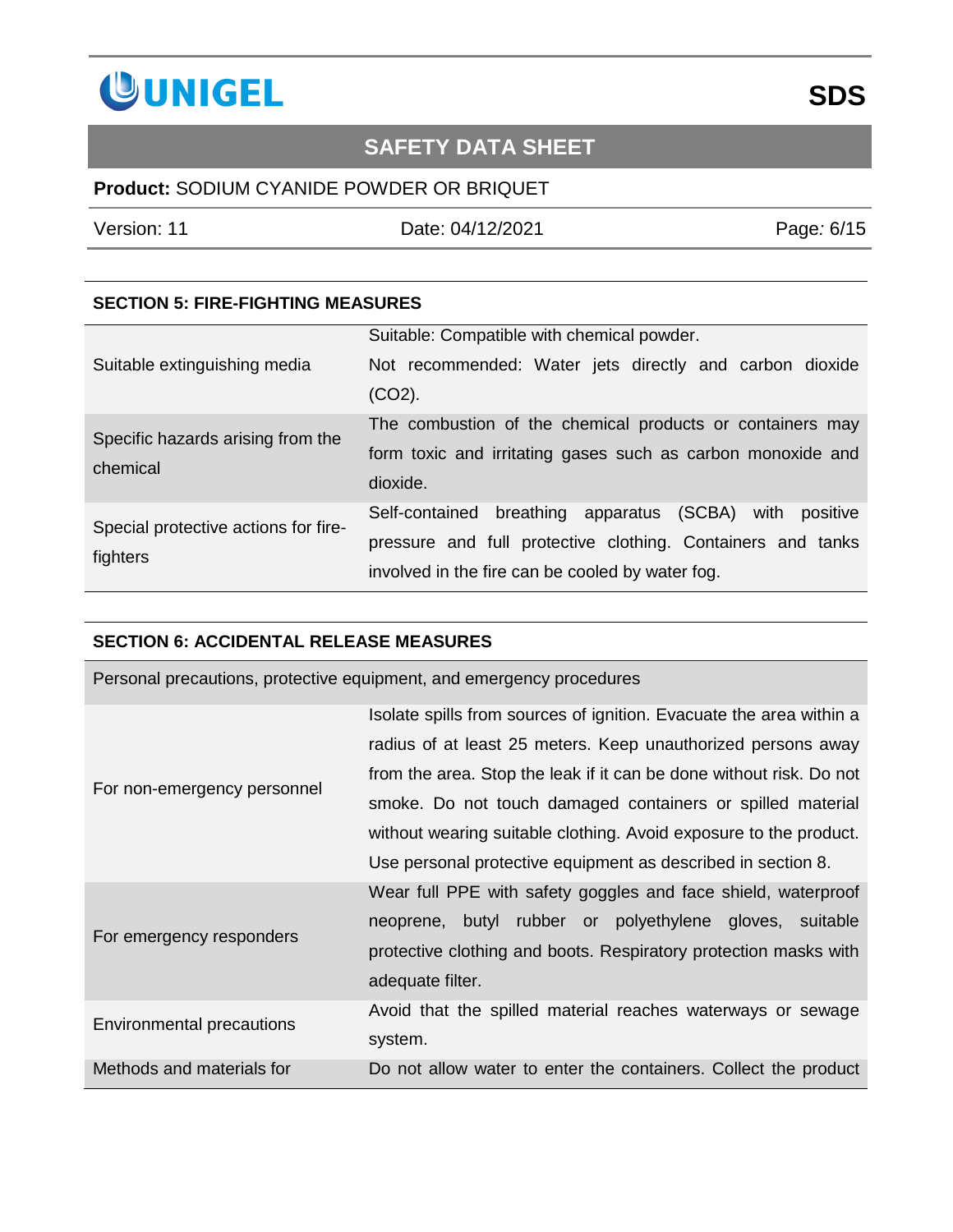

### **Product:** SODIUM CYANIDE POWDER OR BRIQUET

Version: 11 Date: 04/12/2021 Page*:* 6/15

### **SECTION 5: FIRE-FIGHTING MEASURES**

| Suitable extinguishing media                     | Suitable: Compatible with chemical powder.<br>Not recommended: Water jets directly and carbon dioxide<br>$(CO2)$ .                                                               |
|--------------------------------------------------|----------------------------------------------------------------------------------------------------------------------------------------------------------------------------------|
| Specific hazards arising from the<br>chemical    | The combustion of the chemical products or containers may<br>form toxic and irritating gases such as carbon monoxide and<br>dioxide.                                             |
| Special protective actions for fire-<br>fighters | Self-contained breathing apparatus (SCBA)<br>with<br>positive<br>pressure and full protective clothing. Containers and tanks<br>involved in the fire can be cooled by water fog. |

#### **SECTION 6: ACCIDENTAL RELEASE MEASURES**

|                                  | Personal precautions, protective equipment, and emergency procedures |
|----------------------------------|----------------------------------------------------------------------|
|                                  | Isolate spills from sources of ignition. Evacuate the area within a  |
|                                  | radius of at least 25 meters. Keep unauthorized persons away         |
| For non-emergency personnel      | from the area. Stop the leak if it can be done without risk. Do not  |
|                                  | smoke. Do not touch damaged containers or spilled material           |
|                                  | without wearing suitable clothing. Avoid exposure to the product.    |
|                                  | Use personal protective equipment as described in section 8.         |
|                                  | Wear full PPE with safety goggles and face shield, waterproof        |
|                                  | neoprene, butyl rubber or polyethylene gloves, suitable              |
| For emergency responders         | protective clothing and boots. Respiratory protection masks with     |
|                                  | adequate filter.                                                     |
|                                  | Avoid that the spilled material reaches waterways or sewage          |
| <b>Environmental precautions</b> | system.                                                              |
| Methods and materials for        | Do not allow water to enter the containers. Collect the product      |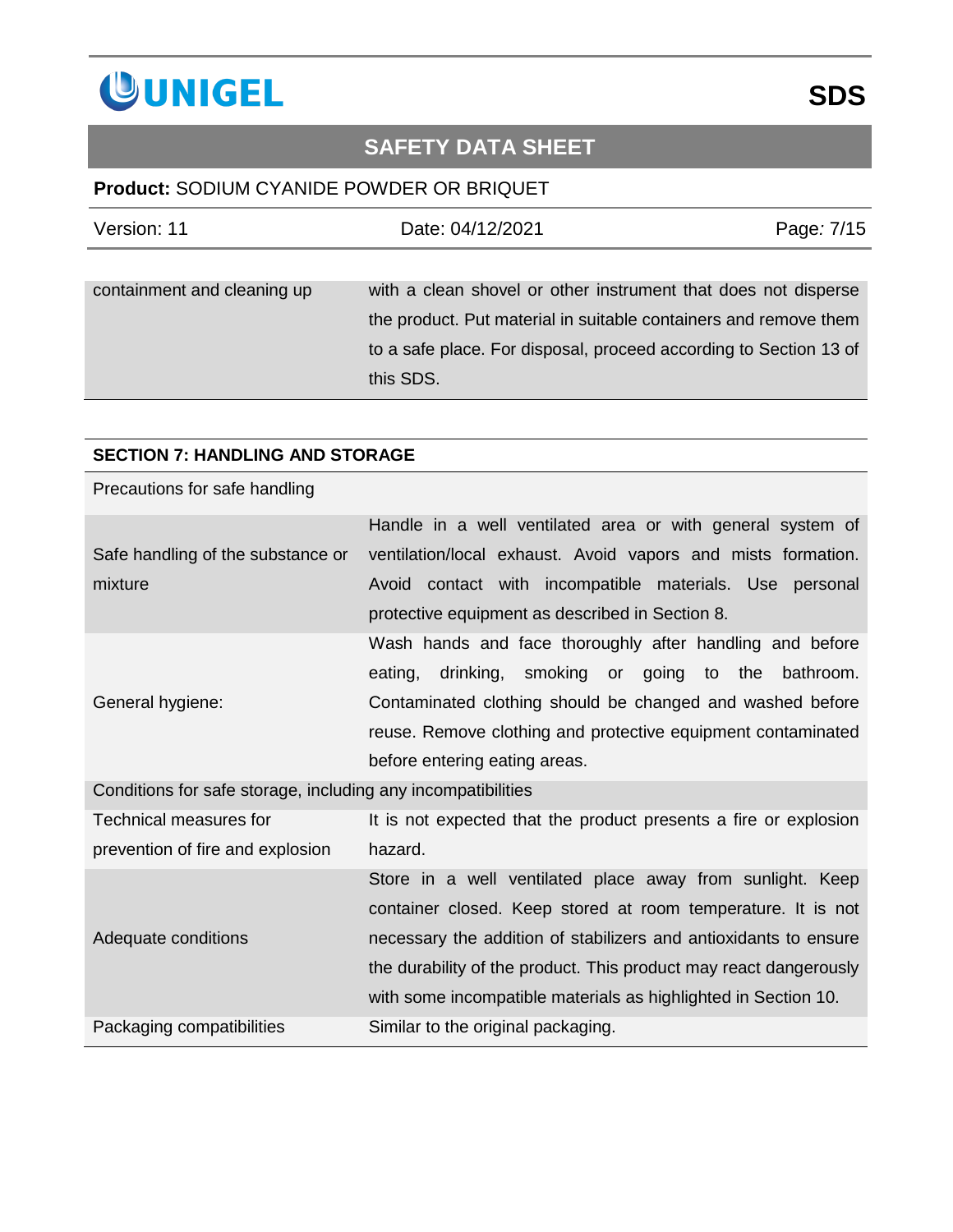

### **Product:** SODIUM CYANIDE POWDER OR BRIQUET

| Version: 11                 | Date: 04/12/2021                                                                                                                                                                                                     | Page: 7/15 |
|-----------------------------|----------------------------------------------------------------------------------------------------------------------------------------------------------------------------------------------------------------------|------------|
|                             |                                                                                                                                                                                                                      |            |
| containment and cleaning up | with a clean shovel or other instrument that does not disperse<br>the product. Put material in suitable containers and remove them<br>to a safe place. For disposal, proceed according to Section 13 of<br>this SDS. |            |

### **SECTION 7: HANDLING AND STORAGE**

| Precautions for safe handling                                |                                                                                                                                                                                                                                                                                                                                      |
|--------------------------------------------------------------|--------------------------------------------------------------------------------------------------------------------------------------------------------------------------------------------------------------------------------------------------------------------------------------------------------------------------------------|
| Safe handling of the substance or<br>mixture                 | Handle in a well ventilated area or with general system of<br>ventilation/local exhaust. Avoid vapors and mists formation.<br>Avoid contact with incompatible materials. Use personal<br>protective equipment as described in Section 8.                                                                                             |
| General hygiene:                                             | Wash hands and face thoroughly after handling and before<br>drinking, smoking or going to the<br>eating,<br>bathroom.<br>Contaminated clothing should be changed and washed before<br>reuse. Remove clothing and protective equipment contaminated<br>before entering eating areas.                                                  |
| Conditions for safe storage, including any incompatibilities |                                                                                                                                                                                                                                                                                                                                      |
| Technical measures for                                       | It is not expected that the product presents a fire or explosion                                                                                                                                                                                                                                                                     |
| prevention of fire and explosion                             | hazard.                                                                                                                                                                                                                                                                                                                              |
| Adequate conditions                                          | Store in a well ventilated place away from sunlight. Keep<br>container closed. Keep stored at room temperature. It is not<br>necessary the addition of stabilizers and antioxidants to ensure<br>the durability of the product. This product may react dangerously<br>with some incompatible materials as highlighted in Section 10. |
| Packaging compatibilities                                    | Similar to the original packaging.                                                                                                                                                                                                                                                                                                   |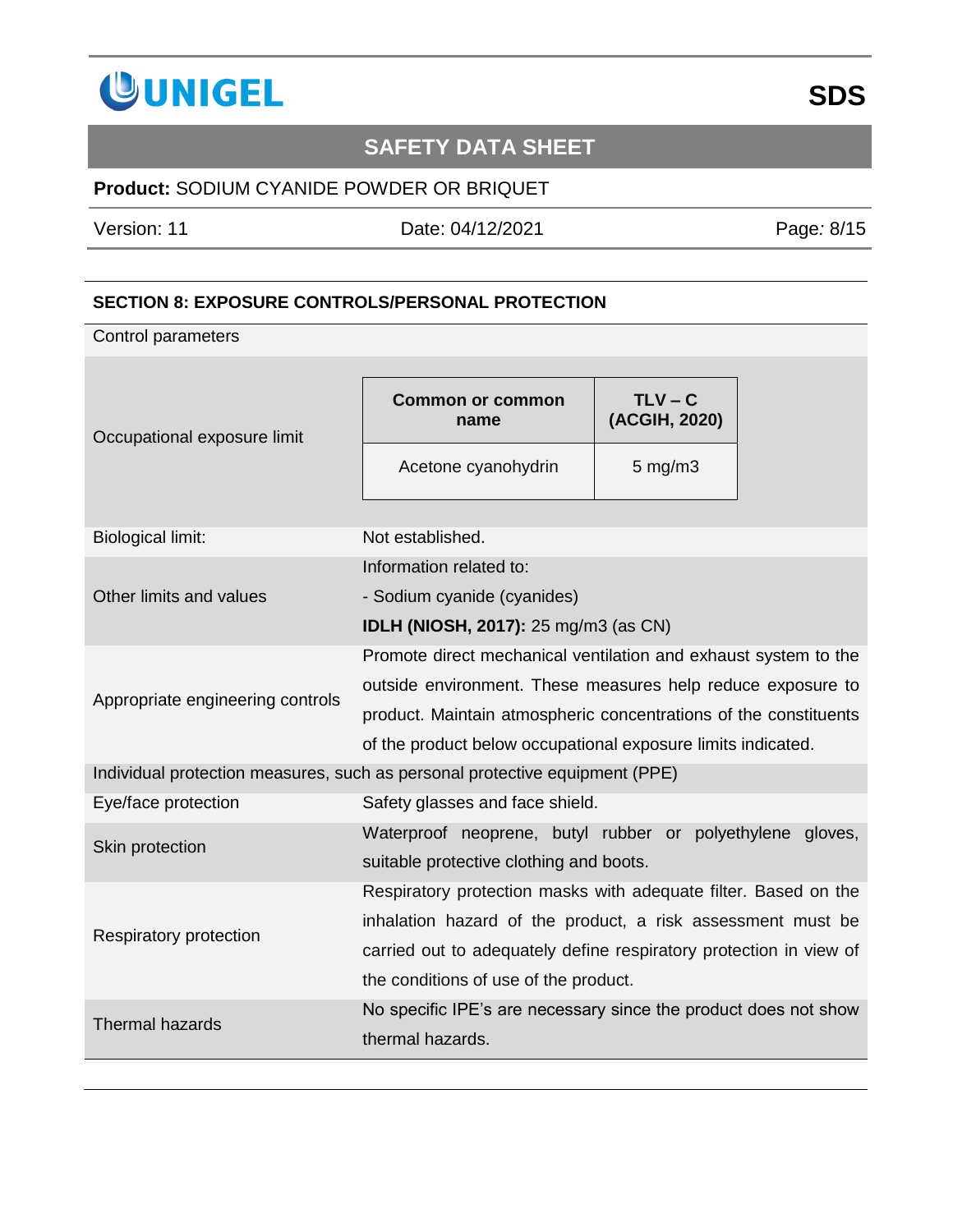

### **Product:** SODIUM CYANIDE POWDER OR BRIQUET

Version: 11 Date: 04/12/2021 Page*:* 8/15

### **SECTION 8: EXPOSURE CONTROLS/PERSONAL PROTECTION**

Control parameters

| Occupational exposure limit                                                 | Common or common<br>name                                           | $TLV - C$<br>(ACGIH, 2020) |  |
|-----------------------------------------------------------------------------|--------------------------------------------------------------------|----------------------------|--|
|                                                                             | Acetone cyanohydrin                                                | $5$ mg/m $3$               |  |
| <b>Biological limit:</b>                                                    | Not established.                                                   |                            |  |
|                                                                             | Information related to:                                            |                            |  |
| Other limits and values                                                     | - Sodium cyanide (cyanides)                                        |                            |  |
|                                                                             | <b>IDLH (NIOSH, 2017):</b> 25 mg/m3 (as CN)                        |                            |  |
|                                                                             | Promote direct mechanical ventilation and exhaust system to the    |                            |  |
|                                                                             | outside environment. These measures help reduce exposure to        |                            |  |
| Appropriate engineering controls                                            | product. Maintain atmospheric concentrations of the constituents   |                            |  |
|                                                                             | of the product below occupational exposure limits indicated.       |                            |  |
| Individual protection measures, such as personal protective equipment (PPE) |                                                                    |                            |  |
| Eye/face protection                                                         | Safety glasses and face shield.                                    |                            |  |
| Skin protection                                                             | Waterproof neoprene, butyl rubber or polyethylene gloves,          |                            |  |
|                                                                             | suitable protective clothing and boots.                            |                            |  |
|                                                                             | Respiratory protection masks with adequate filter. Based on the    |                            |  |
| Respiratory protection                                                      | inhalation hazard of the product, a risk assessment must be        |                            |  |
|                                                                             | carried out to adequately define respiratory protection in view of |                            |  |
|                                                                             | the conditions of use of the product.                              |                            |  |
| <b>Thermal hazards</b>                                                      | No specific IPE's are necessary since the product does not show    |                            |  |
|                                                                             | thermal hazards.                                                   |                            |  |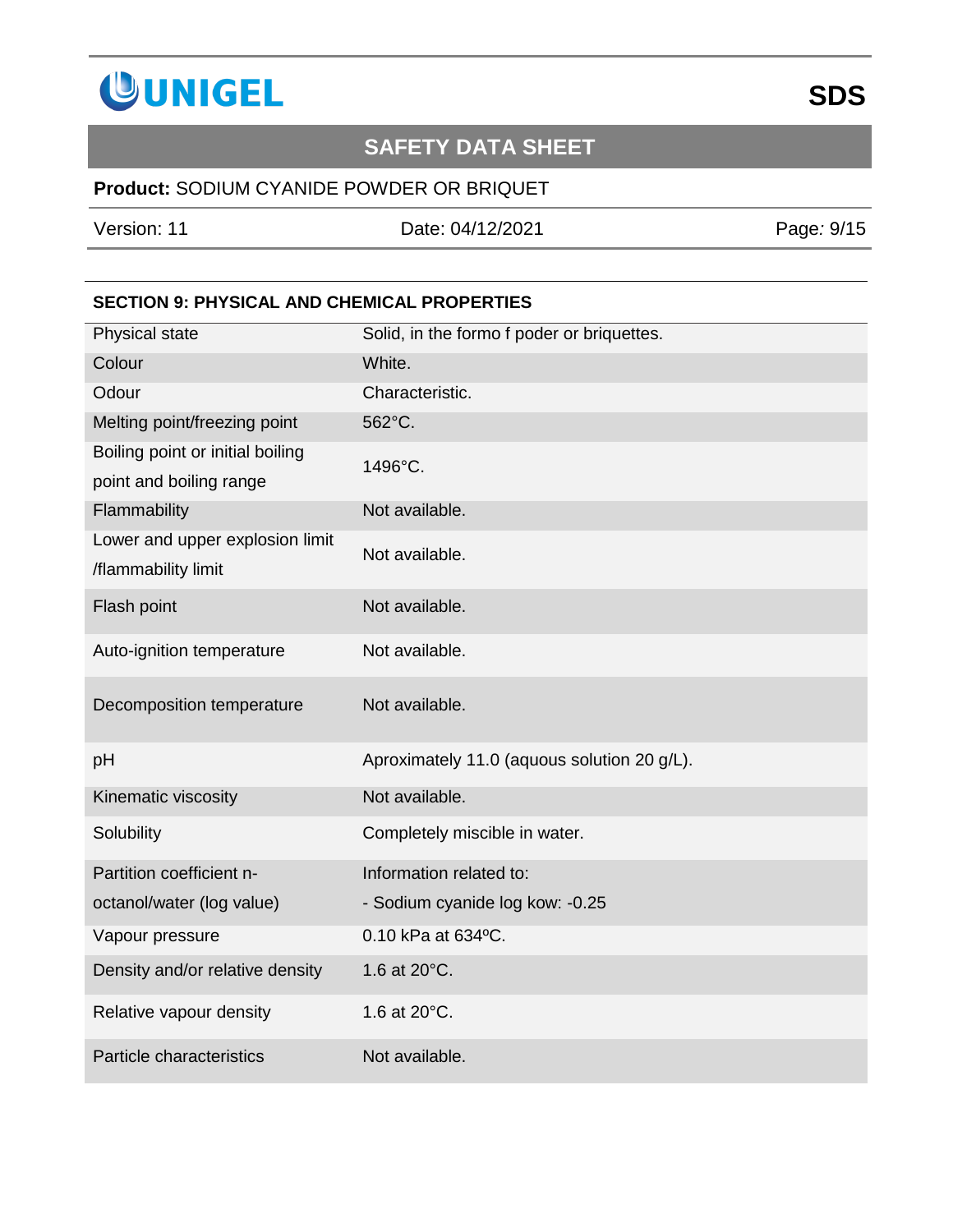

### **Product:** SODIUM CYANIDE POWDER OR BRIQUET

Version: 11 Date: 04/12/2021 Page*:* 9/15

### **SECTION 9: PHYSICAL AND CHEMICAL PROPERTIES**

| Physical state                                         | Solid, in the formo f poder or briquettes.  |
|--------------------------------------------------------|---------------------------------------------|
| Colour                                                 | White.                                      |
| Odour                                                  | Characteristic.                             |
| Melting point/freezing point                           | 562°C.                                      |
| Boiling point or initial boiling                       | 1496°C.                                     |
| point and boiling range                                |                                             |
| Flammability                                           | Not available.                              |
| Lower and upper explosion limit<br>/flammability limit | Not available.                              |
| Flash point                                            | Not available.                              |
| Auto-ignition temperature                              | Not available.                              |
| Decomposition temperature                              | Not available.                              |
| pH                                                     | Aproximately 11.0 (aquous solution 20 g/L). |
| Kinematic viscosity                                    | Not available.                              |
| Solubility                                             | Completely miscible in water.               |
| Partition coefficient n-                               | Information related to:                     |
| octanol/water (log value)                              | - Sodium cyanide log kow: -0.25             |
| Vapour pressure                                        | 0.10 kPa at 634°C.                          |
| Density and/or relative density                        | 1.6 at 20°C.                                |
| Relative vapour density                                | 1.6 at 20°C.                                |
| Particle characteristics                               | Not available.                              |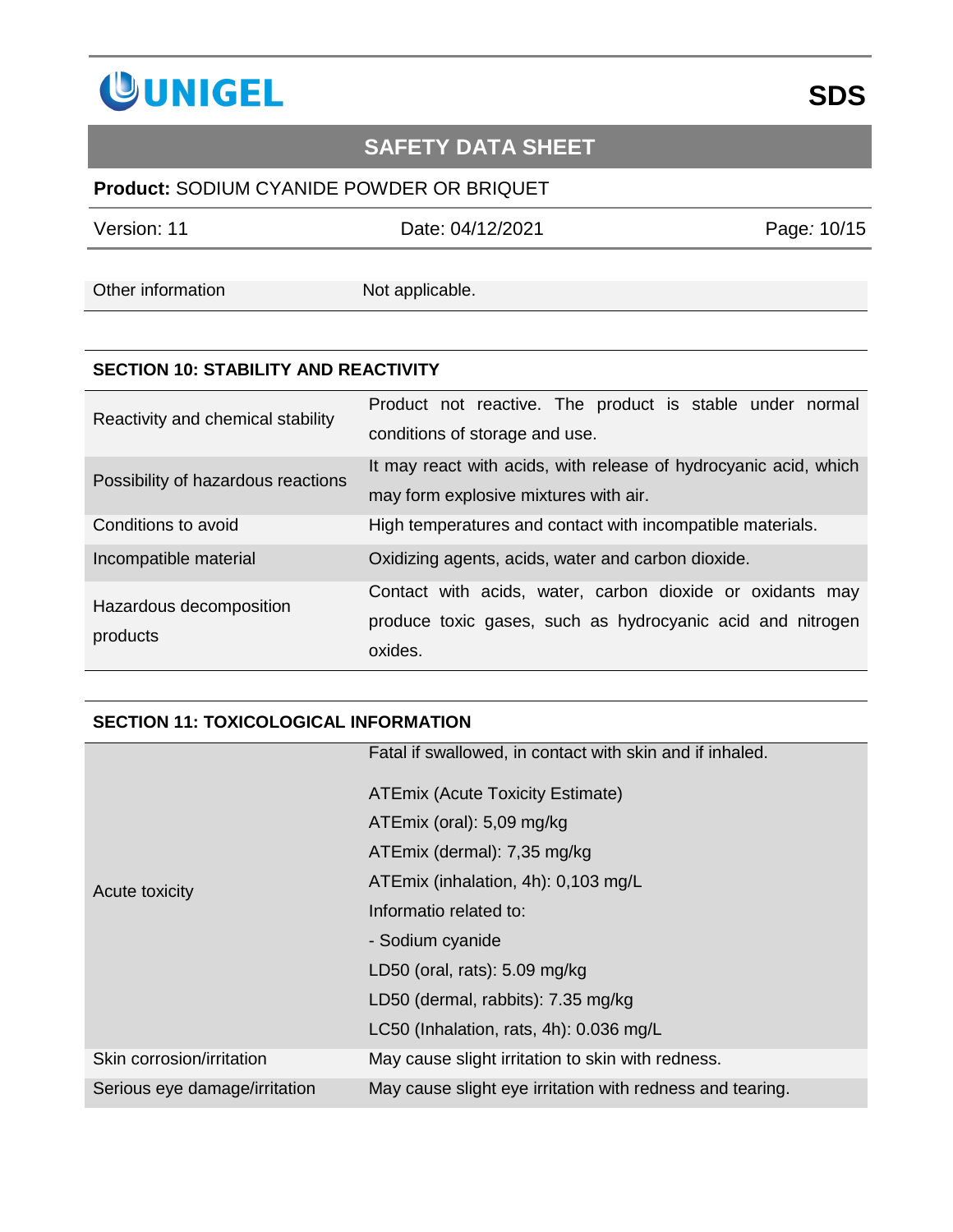

### **Product:** SODIUM CYANIDE POWDER OR BRIQUET

Version: 11 Date: 04/12/2021 Page*:* 10/15

Other information Not applicable.

#### **SECTION 10: STABILITY AND REACTIVITY**

| Reactivity and chemical stability   | Product not reactive. The product is stable under normal<br>conditions of storage and use.                                         |
|-------------------------------------|------------------------------------------------------------------------------------------------------------------------------------|
| Possibility of hazardous reactions  | It may react with acids, with release of hydrocyanic acid, which<br>may form explosive mixtures with air.                          |
| Conditions to avoid                 | High temperatures and contact with incompatible materials.                                                                         |
| Incompatible material               | Oxidizing agents, acids, water and carbon dioxide.                                                                                 |
| Hazardous decomposition<br>products | Contact with acids, water, carbon dioxide or oxidants may<br>produce toxic gases, such as hydrocyanic acid and nitrogen<br>oxides. |

### **SECTION 11: TOXICOLOGICAL INFORMATION**

|                               | Fatal if swallowed, in contact with skin and if inhaled.  |
|-------------------------------|-----------------------------------------------------------|
| Acute toxicity                | <b>ATEmix (Acute Toxicity Estimate)</b>                   |
|                               | ATEmix (oral): 5,09 mg/kg                                 |
|                               | ATEmix (dermal): 7,35 mg/kg                               |
|                               | ATEmix (inhalation, 4h): 0,103 mg/L                       |
|                               | Informatio related to:                                    |
|                               | - Sodium cyanide                                          |
|                               | LD50 (oral, rats): $5.09$ mg/kg                           |
|                               | LD50 (dermal, rabbits): 7.35 mg/kg                        |
|                               | LC50 (Inhalation, rats, 4h): 0.036 mg/L                   |
| Skin corrosion/irritation     | May cause slight irritation to skin with redness.         |
| Serious eye damage/irritation | May cause slight eye irritation with redness and tearing. |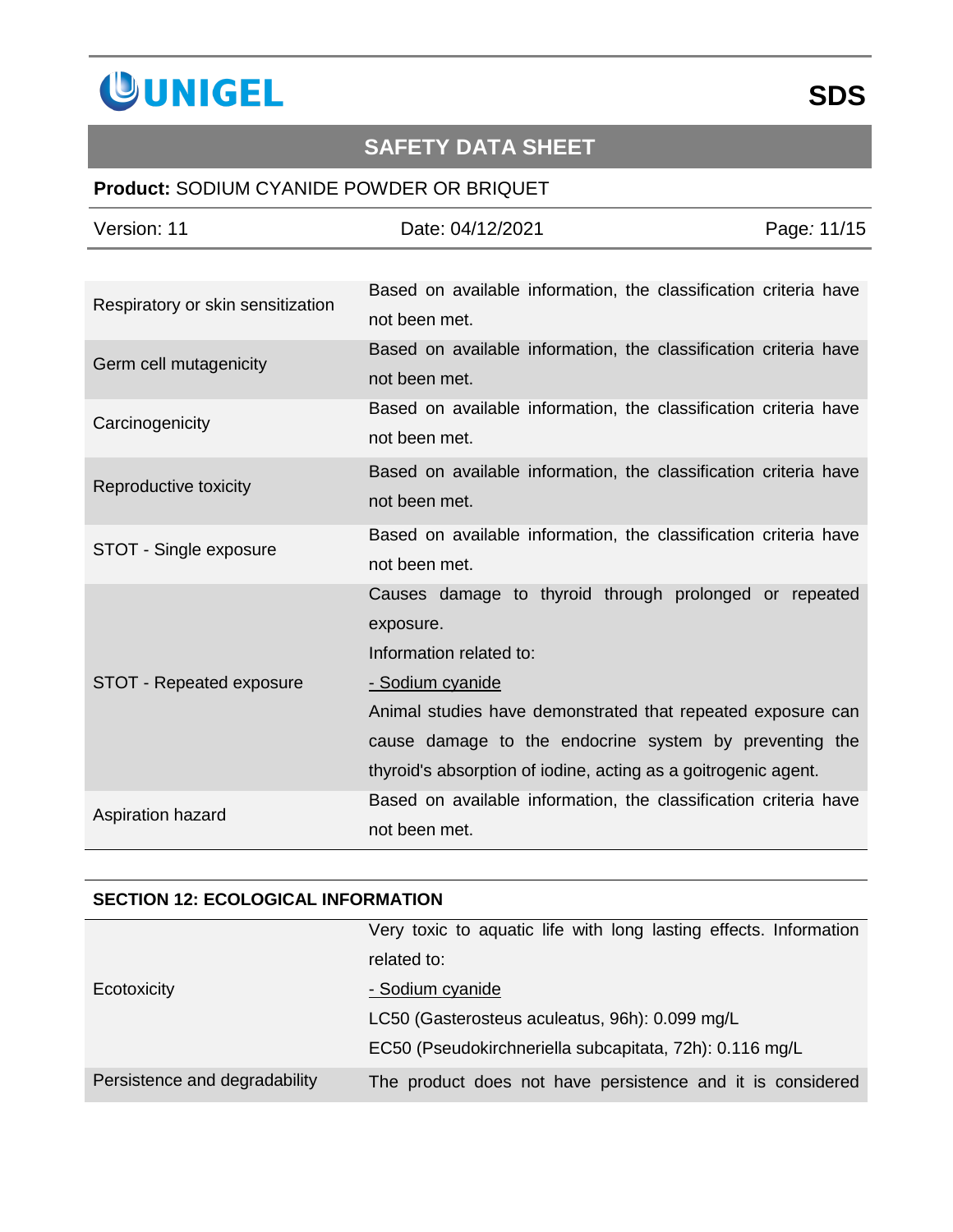

### **Product:** SODIUM CYANIDE POWDER OR BRIQUET

| Version: 11                       | Date: 04/12/2021                                                 | Page: 11/15 |  |
|-----------------------------------|------------------------------------------------------------------|-------------|--|
|                                   |                                                                  |             |  |
| Respiratory or skin sensitization | Based on available information, the classification criteria have |             |  |
|                                   | not been met.                                                    |             |  |
| Germ cell mutagenicity            | Based on available information, the classification criteria have |             |  |
|                                   | not been met.                                                    |             |  |
| Carcinogenicity                   | Based on available information, the classification criteria have |             |  |
|                                   | not been met.                                                    |             |  |
| Reproductive toxicity             | Based on available information, the classification criteria have |             |  |
|                                   | not been met.                                                    |             |  |
| STOT - Single exposure            | Based on available information, the classification criteria have |             |  |
|                                   | not been met.                                                    |             |  |
|                                   | Causes damage to thyroid through prolonged or repeated           |             |  |
|                                   | exposure.                                                        |             |  |
|                                   | Information related to:                                          |             |  |
| STOT - Repeated exposure          | - Sodium cyanide                                                 |             |  |
|                                   | Animal studies have demonstrated that repeated exposure can      |             |  |
|                                   | cause damage to the endocrine system by preventing the           |             |  |
|                                   | thyroid's absorption of iodine, acting as a goitrogenic agent.   |             |  |
| Aspiration hazard                 | Based on available information, the classification criteria have |             |  |
|                                   | not been met.                                                    |             |  |

### **SECTION 12: ECOLOGICAL INFORMATION**

|                               | Very toxic to aquatic life with long lasting effects. Information |
|-------------------------------|-------------------------------------------------------------------|
|                               | related to:                                                       |
| Ecotoxicity                   | - Sodium cyanide                                                  |
|                               | LC50 (Gasterosteus aculeatus, 96h): 0.099 mg/L                    |
|                               | EC50 (Pseudokirchneriella subcapitata, 72h): 0.116 mg/L           |
| Persistence and degradability | The product does not have persistence and it is considered        |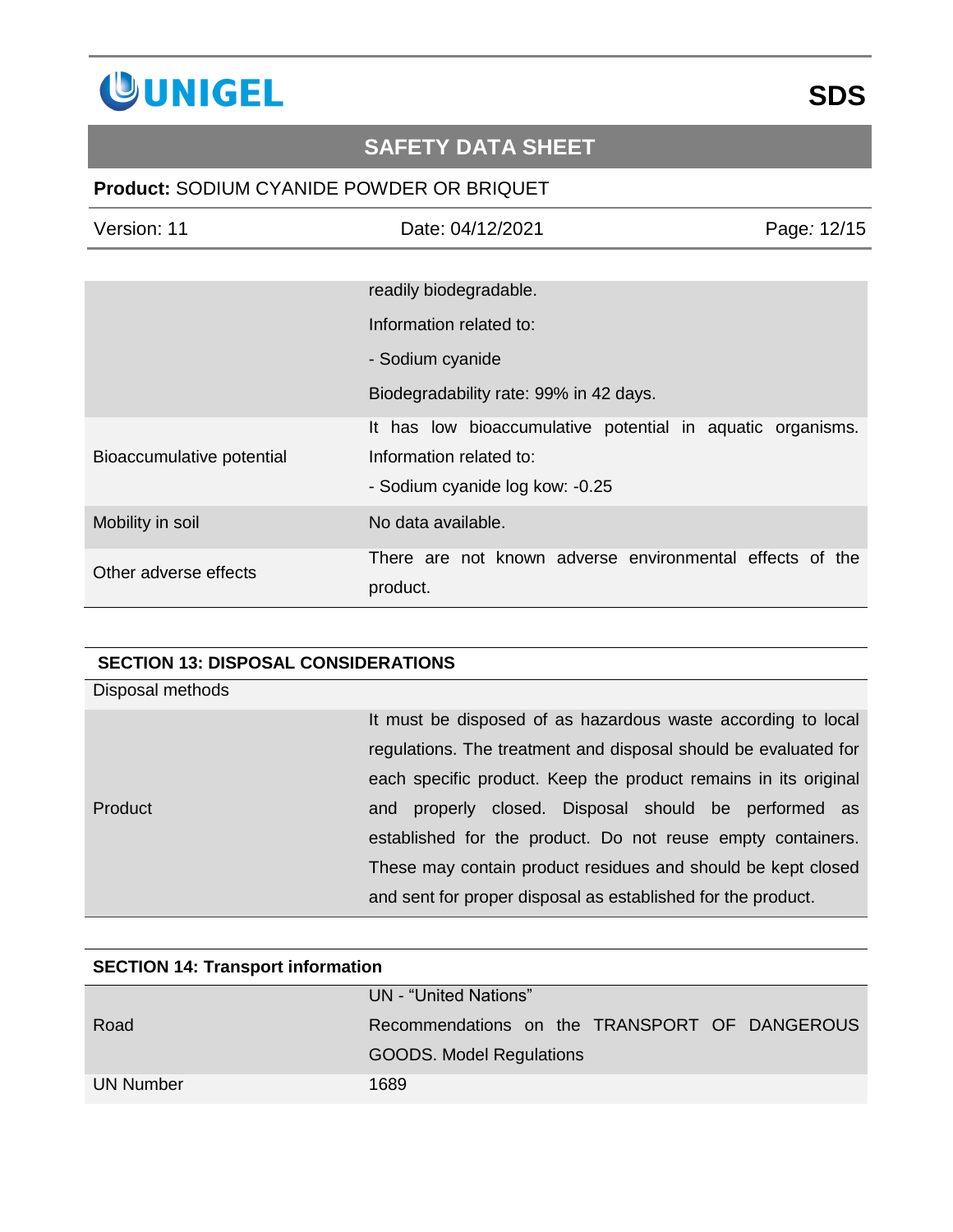

### **Product:** SODIUM CYANIDE POWDER OR BRIQUET

| Version: 11               | Date: 04/12/2021                                                     | Page: 12/15 |
|---------------------------|----------------------------------------------------------------------|-------------|
|                           |                                                                      |             |
|                           | readily biodegradable.                                               |             |
|                           | Information related to:                                              |             |
|                           | - Sodium cyanide                                                     |             |
|                           | Biodegradability rate: 99% in 42 days.                               |             |
|                           | It has low bioaccumulative potential in aquatic organisms.           |             |
| Bioaccumulative potential | Information related to:                                              |             |
|                           | - Sodium cyanide log kow: -0.25                                      |             |
| Mobility in soil          | No data available.                                                   |             |
| Other adverse effects     | There are not known adverse environmental effects of the<br>product. |             |

### **SECTION 13: DISPOSAL CONSIDERATIONS**

| Disposal methods |                                                                 |
|------------------|-----------------------------------------------------------------|
|                  | It must be disposed of as hazardous waste according to local    |
|                  | regulations. The treatment and disposal should be evaluated for |
|                  | each specific product. Keep the product remains in its original |
| <b>Product</b>   | and properly closed. Disposal should be performed as            |
|                  | established for the product. Do not reuse empty containers.     |
|                  | These may contain product residues and should be kept closed    |
|                  | and sent for proper disposal as established for the product.    |

| <b>SECTION 14: Transport information</b> |                                               |  |
|------------------------------------------|-----------------------------------------------|--|
|                                          | UN - "United Nations"                         |  |
| Road                                     | Recommendations on the TRANSPORT OF DANGEROUS |  |
|                                          | <b>GOODS.</b> Model Regulations               |  |
| UN Number                                | 1689                                          |  |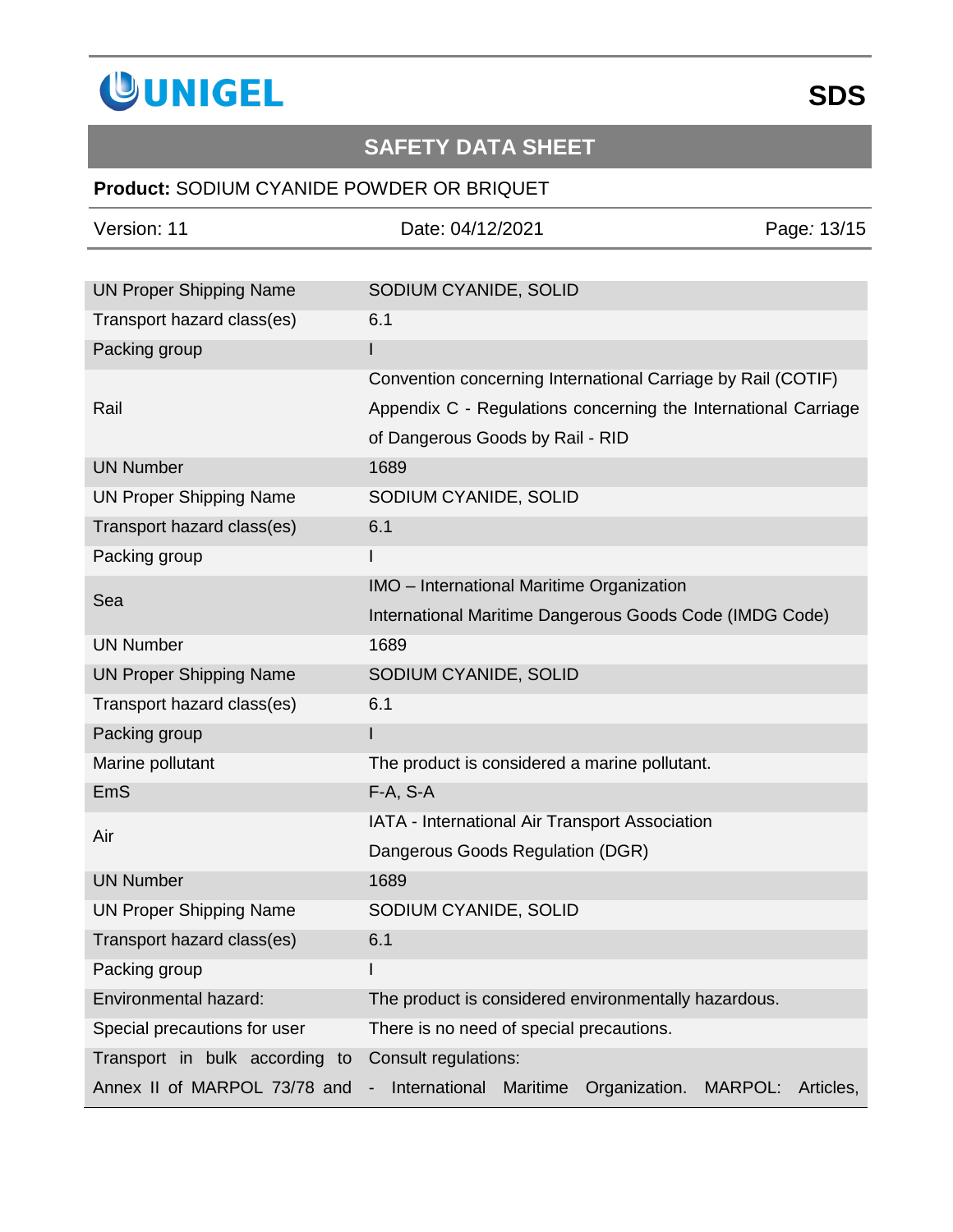

## **Product:** SODIUM CYANIDE POWDER OR BRIQUET

| Version: 11                    | Date: 04/12/2021                                               | Page: 13/15          |
|--------------------------------|----------------------------------------------------------------|----------------------|
|                                |                                                                |                      |
| <b>UN Proper Shipping Name</b> | SODIUM CYANIDE, SOLID                                          |                      |
| Transport hazard class(es)     | 6.1                                                            |                      |
| Packing group                  |                                                                |                      |
|                                | Convention concerning International Carriage by Rail (COTIF)   |                      |
| Rail                           | Appendix C - Regulations concerning the International Carriage |                      |
|                                | of Dangerous Goods by Rail - RID                               |                      |
| <b>UN Number</b>               | 1689                                                           |                      |
| <b>UN Proper Shipping Name</b> | SODIUM CYANIDE, SOLID                                          |                      |
| Transport hazard class(es)     | 6.1                                                            |                      |
| Packing group                  |                                                                |                      |
|                                | IMO - International Maritime Organization                      |                      |
| Sea                            | International Maritime Dangerous Goods Code (IMDG Code)        |                      |
| <b>UN Number</b>               | 1689                                                           |                      |
| <b>UN Proper Shipping Name</b> | SODIUM CYANIDE, SOLID                                          |                      |
| Transport hazard class(es)     | 6.1                                                            |                      |
| Packing group                  |                                                                |                      |
| Marine pollutant               | The product is considered a marine pollutant.                  |                      |
| EmS                            | $F-A, S-A$                                                     |                      |
| Air                            | IATA - International Air Transport Association                 |                      |
|                                | Dangerous Goods Regulation (DGR)                               |                      |
| <b>UN Number</b>               | 1689                                                           |                      |
| <b>UN Proper Shipping Name</b> | SODIUM CYANIDE, SOLID                                          |                      |
| Transport hazard class(es)     | 6.1                                                            |                      |
| Packing group                  |                                                                |                      |
| Environmental hazard:          | The product is considered environmentally hazardous.           |                      |
| Special precautions for user   | There is no need of special precautions.                       |                      |
| Transport in bulk according to | Consult regulations:                                           |                      |
| Annex II of MARPOL 73/78 and   | International<br>Maritime<br>Organization.                     | MARPOL:<br>Articles, |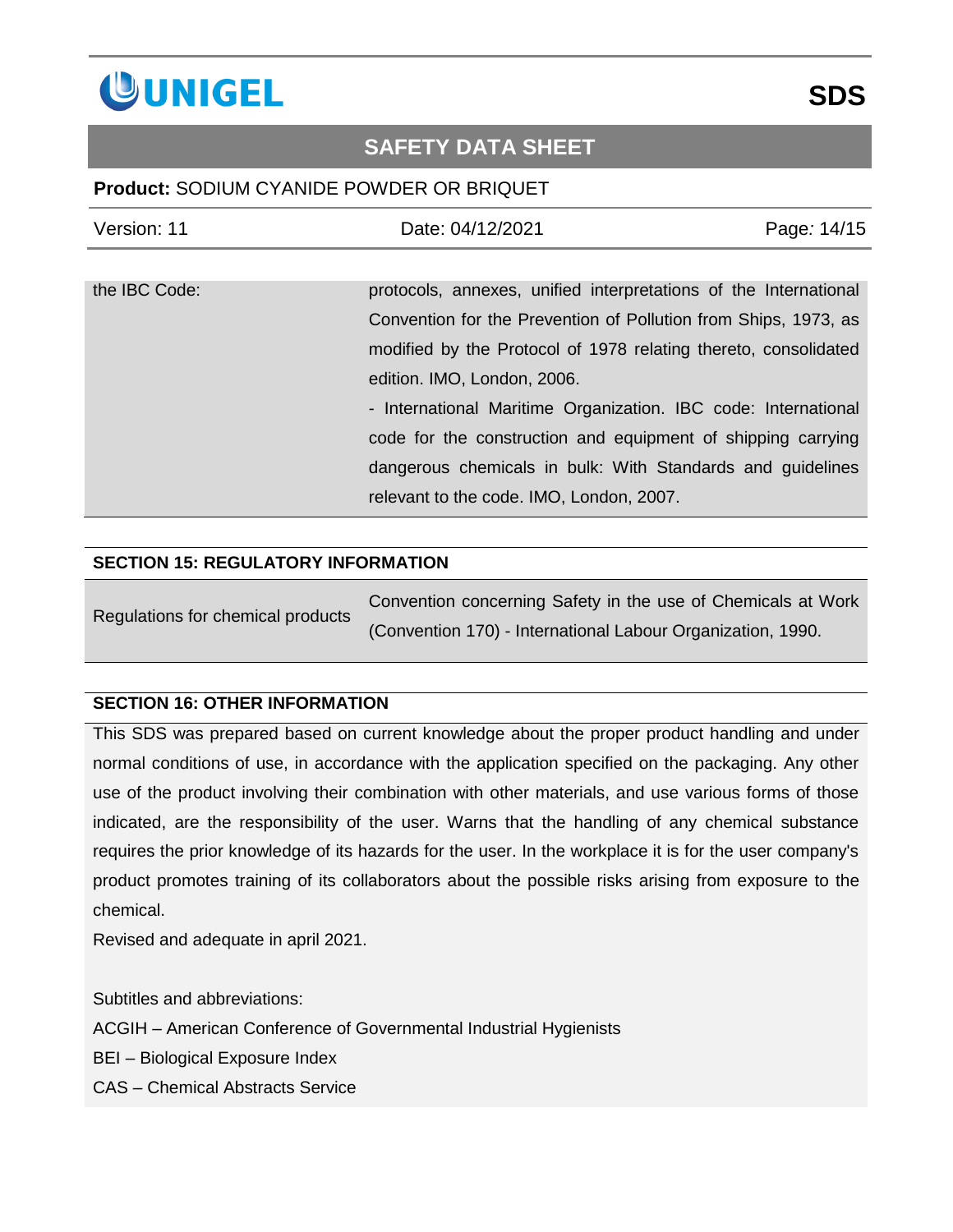

### **Product:** SODIUM CYANIDE POWDER OR BRIQUET

| Version: 11   | Date: 04/12/2021                                                 | Page: 14/15 |
|---------------|------------------------------------------------------------------|-------------|
|               |                                                                  |             |
| the IBC Code: | protocols, annexes, unified interpretations of the International |             |
|               | Convention for the Prevention of Pollution from Ships, 1973, as  |             |
|               | modified by the Protocol of 1978 relating thereto, consolidated  |             |
|               | edition. IMO, London, 2006.                                      |             |
|               | - International Maritime Organization. IBC code: International   |             |
|               | code for the construction and equipment of shipping carrying     |             |
|               | dangerous chemicals in bulk: With Standards and guidelines       |             |
|               | relevant to the code. IMO, London, 2007.                         |             |

#### **SECTION 15: REGULATORY INFORMATION**

| Regulations for chemical products | Convention concerning Safety in the use of Chemicals at Work |
|-----------------------------------|--------------------------------------------------------------|
|                                   | (Convention 170) - International Labour Organization, 1990.  |

### **SECTION 16: OTHER INFORMATION**

This SDS was prepared based on current knowledge about the proper product handling and under normal conditions of use, in accordance with the application specified on the packaging. Any other use of the product involving their combination with other materials, and use various forms of those indicated, are the responsibility of the user. Warns that the handling of any chemical substance requires the prior knowledge of its hazards for the user. In the workplace it is for the user company's product promotes training of its collaborators about the possible risks arising from exposure to the chemical.

Revised and adequate in april 2021.

Subtitles and abbreviations:

ACGIH – American Conference of Governmental Industrial Hygienists

BEI – Biological Exposure Index

CAS – Chemical Abstracts Service